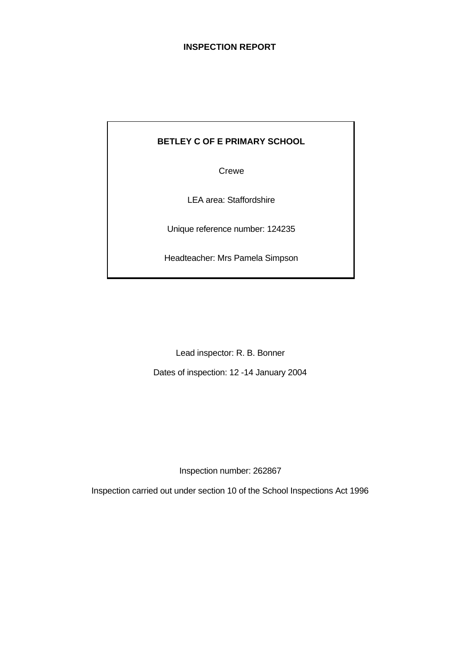## **INSPECTION REPORT**

## **BETLEY C OF E PRIMARY SCHOOL**

Crewe

LEA area: Staffordshire

Unique reference number: 124235

Headteacher: Mrs Pamela Simpson

Lead inspector: R. B. Bonner

Dates of inspection: 12 -14 January 2004

Inspection number: 262867

Inspection carried out under section 10 of the School Inspections Act 1996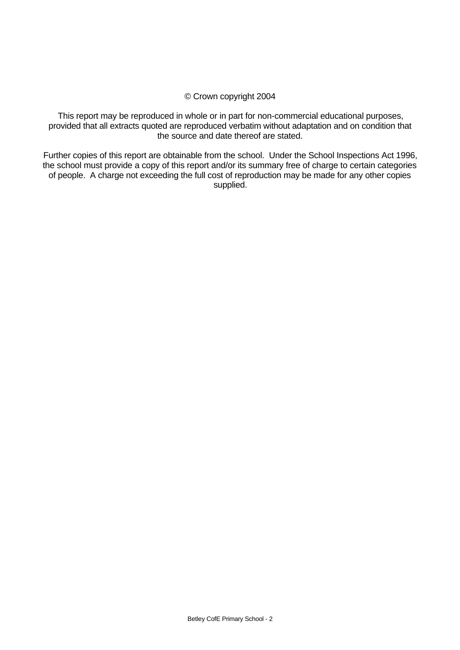## © Crown copyright 2004

This report may be reproduced in whole or in part for non-commercial educational purposes, provided that all extracts quoted are reproduced verbatim without adaptation and on condition that the source and date thereof are stated.

Further copies of this report are obtainable from the school. Under the School Inspections Act 1996, the school must provide a copy of this report and/or its summary free of charge to certain categories of people. A charge not exceeding the full cost of reproduction may be made for any other copies supplied.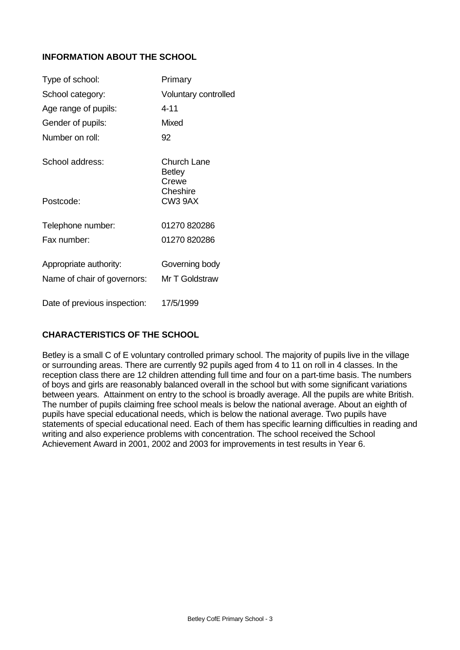## **INFORMATION ABOUT THE SCHOOL**

| Type of school:              | Primary                               |
|------------------------------|---------------------------------------|
| School category:             | Voluntary controlled                  |
| Age range of pupils:         | 4-11                                  |
| Gender of pupils:            | Mixed                                 |
| Number on roll:              | 92                                    |
| School address:              | Church Lane<br><b>Betley</b><br>Crewe |
| Postcode:                    | Cheshire<br>CW <sub>3</sub> 9AX       |
| Telephone number:            | 01270 820286                          |
| Fax number:                  | 01270 820286                          |
| Appropriate authority:       | Governing body                        |
| Name of chair of governors:  | Mr T Goldstraw                        |
| Date of previous inspection: | 17/5/1999                             |

## **CHARACTERISTICS OF THE SCHOOL**

Betley is a small C of E voluntary controlled primary school. The majority of pupils live in the village or surrounding areas. There are currently 92 pupils aged from 4 to 11 on roll in 4 classes. In the reception class there are 12 children attending full time and four on a part-time basis. The numbers of boys and girls are reasonably balanced overall in the school but with some significant variations between years. Attainment on entry to the school is broadly average. All the pupils are white British. The number of pupils claiming free school meals is below the national average. About an eighth of pupils have special educational needs, which is below the national average. Two pupils have statements of special educational need. Each of them has specific learning difficulties in reading and writing and also experience problems with concentration. The school received the School Achievement Award in 2001, 2002 and 2003 for improvements in test results in Year 6.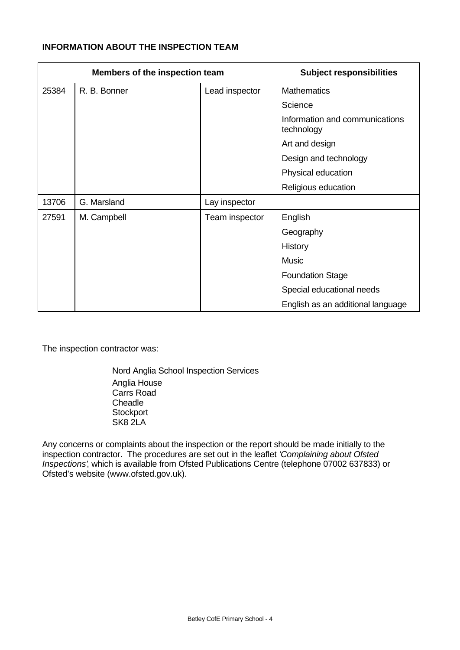## **INFORMATION ABOUT THE INSPECTION TEAM**

| Members of the inspection team |              | <b>Subject responsibilities</b> |                                              |
|--------------------------------|--------------|---------------------------------|----------------------------------------------|
| 25384                          | R. B. Bonner | Lead inspector                  | <b>Mathematics</b>                           |
|                                |              |                                 | Science                                      |
|                                |              |                                 | Information and communications<br>technology |
|                                |              |                                 | Art and design                               |
|                                |              |                                 | Design and technology                        |
|                                |              |                                 | Physical education                           |
|                                |              |                                 | Religious education                          |
| 13706                          | G. Marsland  | Lay inspector                   |                                              |
| 27591                          | M. Campbell  | Team inspector                  | English                                      |
|                                |              |                                 | Geography                                    |
|                                |              |                                 | History                                      |
|                                |              |                                 | <b>Music</b>                                 |
|                                |              |                                 | <b>Foundation Stage</b>                      |
|                                |              |                                 | Special educational needs                    |
|                                |              |                                 | English as an additional language            |

The inspection contractor was:

Nord Anglia School Inspection Services Anglia House Carrs Road **Cheadle Stockport** SK8 2LA

Any concerns or complaints about the inspection or the report should be made initially to the inspection contractor. The procedures are set out in the leaflet *'Complaining about Ofsted Inspections'*, which is available from Ofsted Publications Centre (telephone 07002 637833) or Ofsted's website (www.ofsted.gov.uk).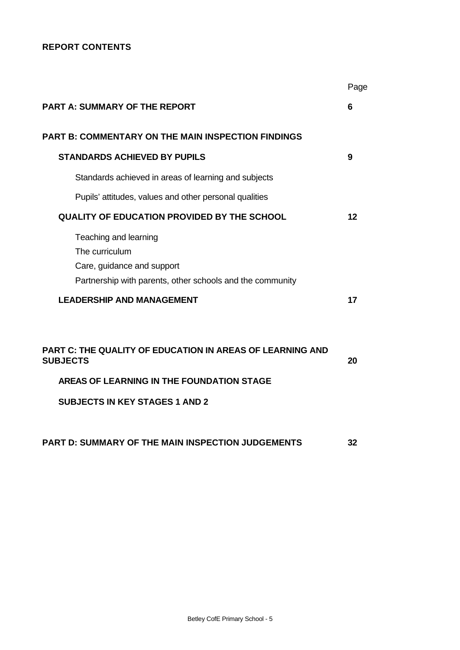## **REPORT CONTENTS**

|                                                                                                                                    | Page |
|------------------------------------------------------------------------------------------------------------------------------------|------|
| <b>PART A: SUMMARY OF THE REPORT</b>                                                                                               | 6    |
| <b>PART B: COMMENTARY ON THE MAIN INSPECTION FINDINGS</b>                                                                          |      |
| <b>STANDARDS ACHIEVED BY PUPILS</b>                                                                                                | 9    |
| Standards achieved in areas of learning and subjects                                                                               |      |
| Pupils' attitudes, values and other personal qualities                                                                             |      |
| <b>QUALITY OF EDUCATION PROVIDED BY THE SCHOOL</b>                                                                                 | 12   |
| Teaching and learning<br>The curriculum<br>Care, guidance and support<br>Partnership with parents, other schools and the community |      |
| <b>LEADERSHIP AND MANAGEMENT</b>                                                                                                   | 17   |
| <b>PART C: THE QUALITY OF EDUCATION IN AREAS OF LEARNING AND</b><br><b>SUBJECTS</b><br>AREAS OF LEARNING IN THE FOUNDATION STAGE   | 20   |
| <b>SUBJECTS IN KEY STAGES 1 AND 2</b>                                                                                              |      |
| PART D: SUMMARY OF THE MAIN INSPECTION JUDGEMENTS                                                                                  | 32   |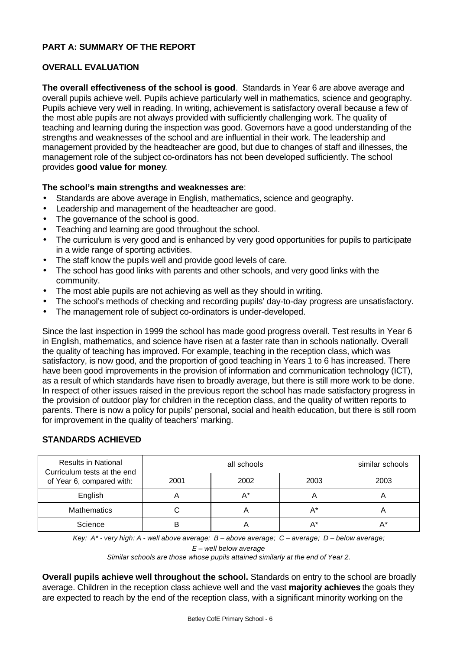## **PART A: SUMMARY OF THE REPORT**

## **OVERALL EVALUATION**

**The overall effectiveness of the school is good**. Standards in Year 6 are above average and overall pupils achieve well. Pupils achieve particularly well in mathematics, science and geography. Pupils achieve very well in reading. In writing, achievement is satisfactory overall because a few of the most able pupils are not always provided with sufficiently challenging work. The quality of teaching and learning during the inspection was good. Governors have a good understanding of the strengths and weaknesses of the school and are influential in their work. The leadership and management provided by the headteacher are good, but due to changes of staff and illnesses, the management role of the subject co-ordinators has not been developed sufficiently. The school provides **good value for money**.

## **The school's main strengths and weaknesses are**:

- Standards are above average in English, mathematics, science and geography.
- Leadership and management of the headteacher are good.
- The governance of the school is good.
- Teaching and learning are good throughout the school.
- The curriculum is very good and is enhanced by very good opportunities for pupils to participate in a wide range of sporting activities.
- The staff know the pupils well and provide good levels of care.
- The school has good links with parents and other schools, and very good links with the community.
- The most able pupils are not achieving as well as they should in writing.
- The school's methods of checking and recording pupils' day-to-day progress are unsatisfactory.
- The management role of subject co-ordinators is under-developed.

Since the last inspection in 1999 the school has made good progress overall. Test results in Year 6 in English, mathematics, and science have risen at a faster rate than in schools nationally. Overall the quality of teaching has improved. For example, teaching in the reception class, which was satisfactory, is now good, and the proportion of good teaching in Years 1 to 6 has increased. There have been good improvements in the provision of information and communication technology (ICT), as a result of which standards have risen to broadly average, but there is still more work to be done. In respect of other issues raised in the previous report the school has made satisfactory progress in the provision of outdoor play for children in the reception class, and the quality of written reports to parents. There is now a policy for pupils' personal, social and health education, but there is still room for improvement in the quality of teachers' marking.

## **STANDARDS ACHIEVED**

| <b>Results in National</b><br>Curriculum tests at the end |      | similar schools |      |      |
|-----------------------------------------------------------|------|-----------------|------|------|
| of Year 6, compared with:                                 | 2001 | 2002            | 2003 | 2003 |
| English                                                   |      | A*              | n    |      |
| <b>Mathematics</b>                                        |      |                 | A*   |      |
| Science                                                   |      |                 | A*   |      |

*Key: A\* - very high: A - well above average; B – above average; C – average; D – below average;*

*E – well below average*

*Similar schools are those whose pupils attained similarly at the end of Year 2.*

**Overall pupils achieve well throughout the school.** Standards on entry to the school are broadly average. Children in the reception class achieve well and the vast **majority achieves** the goals they are expected to reach by the end of the reception class, with a significant minority working on the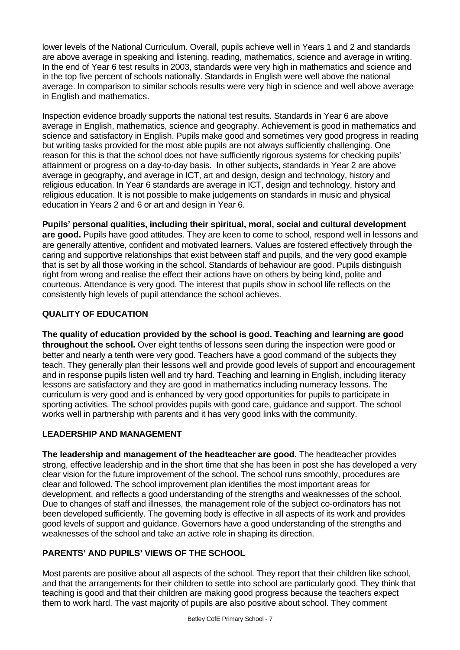lower levels of the National Curriculum. Overall, pupils achieve well in Years 1 and 2 and standards are above average in speaking and listening, reading, mathematics, science and average in writing. In the end of Year 6 test results in 2003, standards were very high in mathematics and science and in the top five percent of schools nationally. Standards in English were well above the national average. In comparison to similar schools results were very high in science and well above average in English and mathematics.

Inspection evidence broadly supports the national test results. Standards in Year 6 are above average in English, mathematics, science and geography. Achievement is good in mathematics and science and satisfactory in English. Pupils make good and sometimes very good progress in reading but writing tasks provided for the most able pupils are not always sufficiently challenging. One reason for this is that the school does not have sufficiently rigorous systems for checking pupils' attainment or progress on a day-to-day basis. In other subjects, standards in Year 2 are above average in geography, and average in ICT, art and design, design and technology, history and religious education. In Year 6 standards are average in ICT, design and technology, history and religious education. It is not possible to make judgements on standards in music and physical education in Years 2 and 6 or art and design in Year 6.

**Pupils' personal qualities, including their spiritual, moral, social and cultural development are good.** Pupils have good attitudes. They are keen to come to school, respond well in lessons and are generally attentive, confident and motivated learners. Values are fostered effectively through the caring and supportive relationships that exist between staff and pupils, and the very good example that is set by all those working in the school. Standards of behaviour are good. Pupils distinguish right from wrong and realise the effect their actions have on others by being kind, polite and courteous. Attendance is very good. The interest that pupils show in school life reflects on the consistently high levels of pupil attendance the school achieves.

## **QUALITY OF EDUCATION**

**The quality of education provided by the school is good. Teaching and learning are good throughout the school.** Over eight tenths of lessons seen during the inspection were good or better and nearly a tenth were very good. Teachers have a good command of the subjects they teach. They generally plan their lessons well and provide good levels of support and encouragement and in response pupils listen well and try hard. Teaching and learning in English, including literacy lessons are satisfactory and they are good in mathematics including numeracy lessons. The curriculum is very good and is enhanced by very good opportunities for pupils to participate in sporting activities. The school provides pupils with good care, guidance and support. The school works well in partnership with parents and it has very good links with the community.

## **LEADERSHIP AND MANAGEMENT**

**The leadership and management of the headteacher are good.** The headteacher provides strong, effective leadership and in the short time that she has been in post she has developed a very clear vision for the future improvement of the school. The school runs smoothly, procedures are clear and followed. The school improvement plan identifies the most important areas for development, and reflects a good understanding of the strengths and weaknesses of the school. Due to changes of staff and illnesses, the management role of the subject co-ordinators has not been developed sufficiently. The governing body is effective in all aspects of its work and provides good levels of support and guidance. Governors have a good understanding of the strengths and weaknesses of the school and take an active role in shaping its direction.

## **PARENTS' AND PUPILS' VIEWS OF THE SCHOOL**

Most parents are positive about all aspects of the school. They report that their children like school, and that the arrangements for their children to settle into school are particularly good. They think that teaching is good and that their children are making good progress because the teachers expect them to work hard. The vast majority of pupils are also positive about school. They comment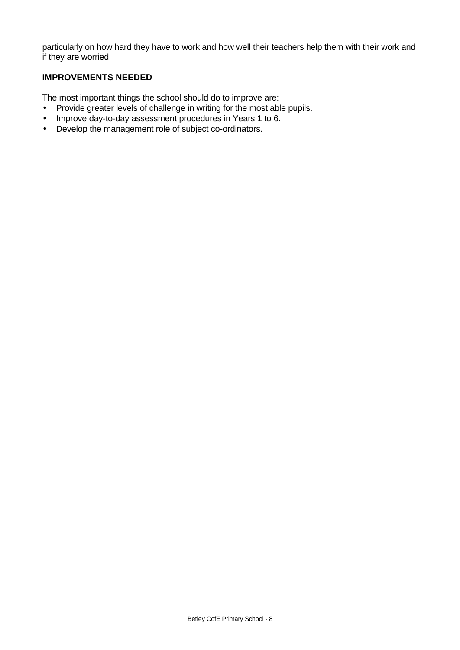particularly on how hard they have to work and how well their teachers help them with their work and if they are worried.

## **IMPROVEMENTS NEEDED**

The most important things the school should do to improve are:

- Provide greater levels of challenge in writing for the most able pupils.
- Improve day-to-day assessment procedures in Years 1 to 6.
- Develop the management role of subject co-ordinators.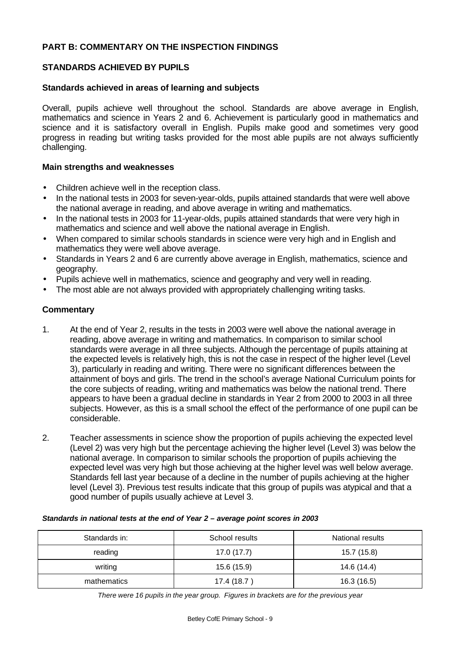## **PART B: COMMENTARY ON THE INSPECTION FINDINGS**

## **STANDARDS ACHIEVED BY PUPILS**

#### **Standards achieved in areas of learning and subjects**

Overall, pupils achieve well throughout the school. Standards are above average in English, mathematics and science in Years 2 and 6. Achievement is particularly good in mathematics and science and it is satisfactory overall in English. Pupils make good and sometimes very good progress in reading but writing tasks provided for the most able pupils are not always sufficiently challenging.

#### **Main strengths and weaknesses**

- Children achieve well in the reception class.
- In the national tests in 2003 for seven-year-olds, pupils attained standards that were well above the national average in reading, and above average in writing and mathematics.
- In the national tests in 2003 for 11-year-olds, pupils attained standards that were very high in mathematics and science and well above the national average in English.
- When compared to similar schools standards in science were very high and in English and mathematics they were well above average.
- Standards in Years 2 and 6 are currently above average in English, mathematics, science and geography.
- Pupils achieve well in mathematics, science and geography and very well in reading.
- The most able are not always provided with appropriately challenging writing tasks.

## **Commentary**

- 1. At the end of Year 2, results in the tests in 2003 were well above the national average in reading, above average in writing and mathematics. In comparison to similar school standards were average in all three subjects. Although the percentage of pupils attaining at the expected levels is relatively high, this is not the case in respect of the higher level (Level 3), particularly in reading and writing. There were no significant differences between the attainment of boys and girls. The trend in the school's average National Curriculum points for the core subjects of reading, writing and mathematics was below the national trend. There appears to have been a gradual decline in standards in Year 2 from 2000 to 2003 in all three subjects. However, as this is a small school the effect of the performance of one pupil can be considerable.
- 2. Teacher assessments in science show the proportion of pupils achieving the expected level (Level 2) was very high but the percentage achieving the higher level (Level 3) was below the national average. In comparison to similar schools the proportion of pupils achieving the expected level was very high but those achieving at the higher level was well below average. Standards fell last year because of a decline in the number of pupils achieving at the higher level (Level 3). Previous test results indicate that this group of pupils was atypical and that a good number of pupils usually achieve at Level 3.

#### *Standards in national tests at the end of Year 2 – average point scores in 2003*

| Standards in: | School results | National results |
|---------------|----------------|------------------|
| reading       | 17.0 (17.7)    | 15.7 (15.8)      |
| writing       | 15.6 (15.9)    | 14.6 (14.4)      |
| mathematics   | 17.4 (18.7)    | 16.3 (16.5)      |

*There were 16 pupils in the year group. Figures in brackets are for the previous year*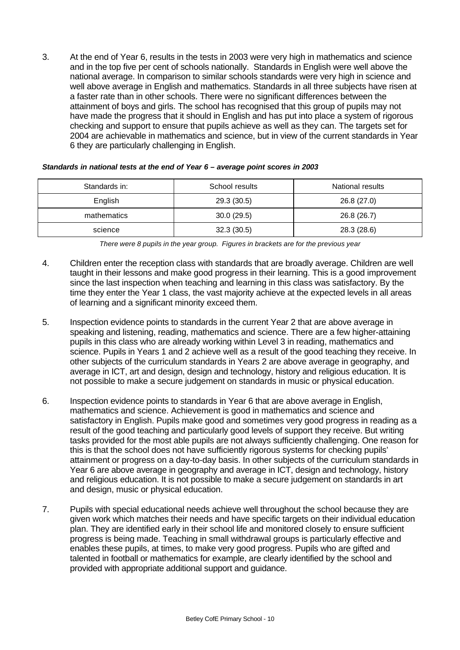3. At the end of Year 6, results in the tests in 2003 were very high in mathematics and science and in the top five per cent of schools nationally. Standards in English were well above the national average. In comparison to similar schools standards were very high in science and well above average in English and mathematics. Standards in all three subjects have risen at a faster rate than in other schools. There were no significant differences between the attainment of boys and girls. The school has recognised that this group of pupils may not have made the progress that it should in English and has put into place a system of rigorous checking and support to ensure that pupils achieve as well as they can. The targets set for 2004 are achievable in mathematics and science, but in view of the current standards in Year 6 they are particularly challenging in English.

| Standards in: | School results | National results |
|---------------|----------------|------------------|
| English       | 29.3 (30.5)    | 26.8 (27.0)      |
| mathematics   | 30.0(29.5)     | 26.8 (26.7)      |
| science       | 32.3(30.5)     | 28.3 (28.6)      |

#### *Standards in national tests at the end of Year 6 – average point scores in 2003*

- 4. Children enter the reception class with standards that are broadly average. Children are well taught in their lessons and make good progress in their learning. This is a good improvement since the last inspection when teaching and learning in this class was satisfactory. By the time they enter the Year 1 class, the vast majority achieve at the expected levels in all areas of learning and a significant minority exceed them.
- 5. Inspection evidence points to standards in the current Year 2 that are above average in speaking and listening, reading, mathematics and science. There are a few higher-attaining pupils in this class who are already working within Level 3 in reading, mathematics and science. Pupils in Years 1 and 2 achieve well as a result of the good teaching they receive. In other subjects of the curriculum standards in Years 2 are above average in geography, and average in ICT, art and design, design and technology, history and religious education. It is not possible to make a secure judgement on standards in music or physical education.
- 6. Inspection evidence points to standards in Year 6 that are above average in English, mathematics and science. Achievement is good in mathematics and science and satisfactory in English. Pupils make good and sometimes very good progress in reading as a result of the good teaching and particularly good levels of support they receive. But writing tasks provided for the most able pupils are not always sufficiently challenging. One reason for this is that the school does not have sufficiently rigorous systems for checking pupils' attainment or progress on a day-to-day basis. In other subjects of the curriculum standards in Year 6 are above average in geography and average in ICT, design and technology, history and religious education. It is not possible to make a secure judgement on standards in art and design, music or physical education.
- 7. Pupils with special educational needs achieve well throughout the school because they are given work which matches their needs and have specific targets on their individual education plan. They are identified early in their school life and monitored closely to ensure sufficient progress is being made. Teaching in small withdrawal groups is particularly effective and enables these pupils, at times, to make very good progress. Pupils who are gifted and talented in football or mathematics for example, are clearly identified by the school and provided with appropriate additional support and guidance.

*There were 8 pupils in the year group. Figures in brackets are for the previous year*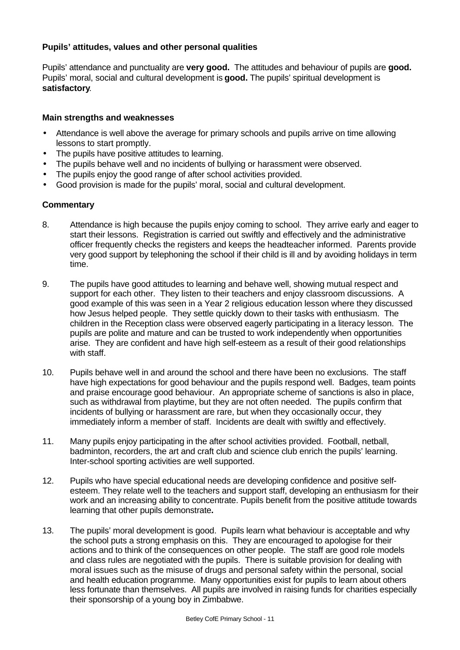## **Pupils' attitudes, values and other personal qualities**

Pupils' attendance and punctuality are **very good.** The attitudes and behaviour of pupils are **good.** Pupils' moral, social and cultural development is **good.** The pupils' spiritual development is **satisfactory**.

## **Main strengths and weaknesses**

- Attendance is well above the average for primary schools and pupils arrive on time allowing lessons to start promptly.
- The pupils have positive attitudes to learning.
- The pupils behave well and no incidents of bullying or harassment were observed.
- The pupils enjoy the good range of after school activities provided.
- Good provision is made for the pupils' moral, social and cultural development.

- 8. Attendance is high because the pupils enjoy coming to school. They arrive early and eager to start their lessons. Registration is carried out swiftly and effectively and the administrative officer frequently checks the registers and keeps the headteacher informed. Parents provide very good support by telephoning the school if their child is ill and by avoiding holidays in term time.
- 9. The pupils have good attitudes to learning and behave well, showing mutual respect and support for each other. They listen to their teachers and enjoy classroom discussions. A good example of this was seen in a Year 2 religious education lesson where they discussed how Jesus helped people. They settle quickly down to their tasks with enthusiasm. The children in the Reception class were observed eagerly participating in a literacy lesson. The pupils are polite and mature and can be trusted to work independently when opportunities arise. They are confident and have high self-esteem as a result of their good relationships with staff.
- 10. Pupils behave well in and around the school and there have been no exclusions. The staff have high expectations for good behaviour and the pupils respond well. Badges, team points and praise encourage good behaviour. An appropriate scheme of sanctions is also in place, such as withdrawal from playtime, but they are not often needed. The pupils confirm that incidents of bullying or harassment are rare, but when they occasionally occur, they immediately inform a member of staff. Incidents are dealt with swiftly and effectively.
- 11. Many pupils enjoy participating in the after school activities provided. Football, netball, badminton, recorders, the art and craft club and science club enrich the pupils' learning. Inter-school sporting activities are well supported.
- 12. Pupils who have special educational needs are developing confidence and positive selfesteem. They relate well to the teachers and support staff, developing an enthusiasm for their work and an increasing ability to concentrate. Pupils benefit from the positive attitude towards learning that other pupils demonstrate**.**
- 13. The pupils' moral development is good. Pupils learn what behaviour is acceptable and why the school puts a strong emphasis on this. They are encouraged to apologise for their actions and to think of the consequences on other people. The staff are good role models and class rules are negotiated with the pupils. There is suitable provision for dealing with moral issues such as the misuse of drugs and personal safety within the personal, social and health education programme. Many opportunities exist for pupils to learn about others less fortunate than themselves. All pupils are involved in raising funds for charities especially their sponsorship of a young boy in Zimbabwe.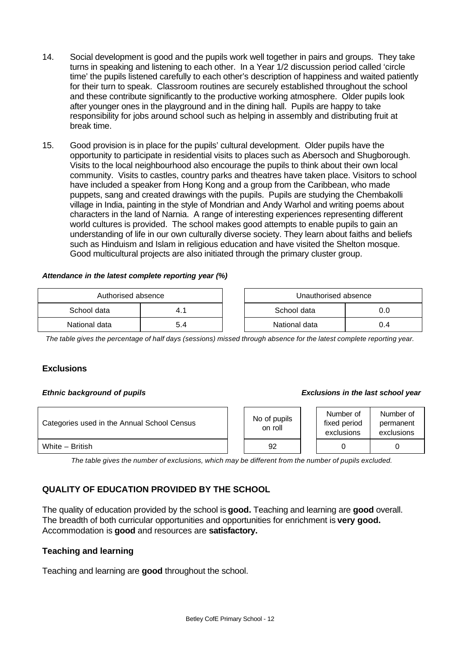- 14. Social development is good and the pupils work well together in pairs and groups. They take turns in speaking and listening to each other. In a Year 1/2 discussion period called 'circle time' the pupils listened carefully to each other's description of happiness and waited patiently for their turn to speak. Classroom routines are securely established throughout the school and these contribute significantly to the productive working atmosphere. Older pupils look after younger ones in the playground and in the dining hall. Pupils are happy to take responsibility for jobs around school such as helping in assembly and distributing fruit at break time.
- 15. Good provision is in place for the pupils' cultural development. Older pupils have the opportunity to participate in residential visits to places such as Abersoch and Shugborough. Visits to the local neighbourhood also encourage the pupils to think about their own local community. Visits to castles, country parks and theatres have taken place. Visitors to school have included a speaker from Hong Kong and a group from the Caribbean, who made puppets, sang and created drawings with the pupils. Pupils are studying the Chembakolli village in India, painting in the style of Mondrian and Andy Warhol and writing poems about characters in the land of Narnia. A range of interesting experiences representing different world cultures is provided. The school makes good attempts to enable pupils to gain an understanding of life in our own culturally diverse society. They learn about faiths and beliefs such as Hinduism and Islam in religious education and have visited the Shelton mosque. Good multicultural projects are also initiated through the primary cluster group.

#### *Attendance in the latest complete reporting year (%)*

| Authorised absence |     | Unauthorised absence |     |
|--------------------|-----|----------------------|-----|
| School data        | т.  | School data          | J.O |
| National data      | 5.4 | National data        | J.4 |

*The table gives the percentage of half days (sessions) missed through absence for the latest complete reporting year.*

## **Exclusions**

### *Ethnic background of pupils Exclusions in the last school year*

| Categories used in the Annual School Census | No of pupils<br>on roll | Number of<br>fixed period<br>exclusions | Number of<br>permanent<br>exclusions |
|---------------------------------------------|-------------------------|-----------------------------------------|--------------------------------------|
| White - British                             | 92                      |                                         |                                      |

*The table gives the number of exclusions, which may be different from the number of pupils excluded.*

## **QUALITY OF EDUCATION PROVIDED BY THE SCHOOL**

The quality of education provided by the school is **good.** Teaching and learning are **good** overall. The breadth of both curricular opportunities and opportunities for enrichment is **very good.** Accommodation is **good** and resources are **satisfactory.**

#### **Teaching and learning**

Teaching and learning are **good** throughout the school.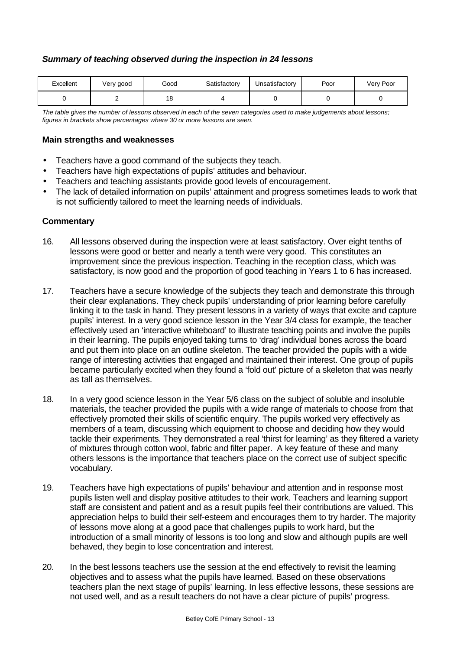## *Summary of teaching observed during the inspection in 24 lessons*

| Excellent | Very good | Good | Satisfactory | Jnsatisfactory | Poor | Very Poor |
|-----------|-----------|------|--------------|----------------|------|-----------|
|           |           | 18   |              |                |      |           |

*The table gives the number of lessons observed in each of the seven categories used to make judgements about lessons; figures in brackets show percentages where 30 or more lessons are seen.*

#### **Main strengths and weaknesses**

- Teachers have a good command of the subjects they teach.
- Teachers have high expectations of pupils' attitudes and behaviour.
- Teachers and teaching assistants provide good levels of encouragement.
- The lack of detailed information on pupils' attainment and progress sometimes leads to work that is not sufficiently tailored to meet the learning needs of individuals.

- 16. All lessons observed during the inspection were at least satisfactory. Over eight tenths of lessons were good or better and nearly a tenth were very good. This constitutes an improvement since the previous inspection. Teaching in the reception class, which was satisfactory, is now good and the proportion of good teaching in Years 1 to 6 has increased.
- 17. Teachers have a secure knowledge of the subjects they teach and demonstrate this through their clear explanations. They check pupils' understanding of prior learning before carefully linking it to the task in hand. They present lessons in a variety of ways that excite and capture pupils' interest. In a very good science lesson in the Year 3/4 class for example, the teacher effectively used an 'interactive whiteboard' to illustrate teaching points and involve the pupils in their learning. The pupils enjoyed taking turns to 'drag' individual bones across the board and put them into place on an outline skeleton. The teacher provided the pupils with a wide range of interesting activities that engaged and maintained their interest. One group of pupils became particularly excited when they found a 'fold out' picture of a skeleton that was nearly as tall as themselves.
- 18. In a very good science lesson in the Year 5/6 class on the subject of soluble and insoluble materials, the teacher provided the pupils with a wide range of materials to choose from that effectively promoted their skills of scientific enquiry. The pupils worked very effectively as members of a team, discussing which equipment to choose and deciding how they would tackle their experiments. They demonstrated a real 'thirst for learning' as they filtered a variety of mixtures through cotton wool, fabric and filter paper. A key feature of these and many others lessons is the importance that teachers place on the correct use of subject specific vocabulary.
- 19. Teachers have high expectations of pupils' behaviour and attention and in response most pupils listen well and display positive attitudes to their work. Teachers and learning support staff are consistent and patient and as a result pupils feel their contributions are valued. This appreciation helps to build their self-esteem and encourages them to try harder. The majority of lessons move along at a good pace that challenges pupils to work hard, but the introduction of a small minority of lessons is too long and slow and although pupils are well behaved, they begin to lose concentration and interest.
- 20. In the best lessons teachers use the session at the end effectively to revisit the learning objectives and to assess what the pupils have learned. Based on these observations teachers plan the next stage of pupils' learning. In less effective lessons, these sessions are not used well, and as a result teachers do not have a clear picture of pupils' progress.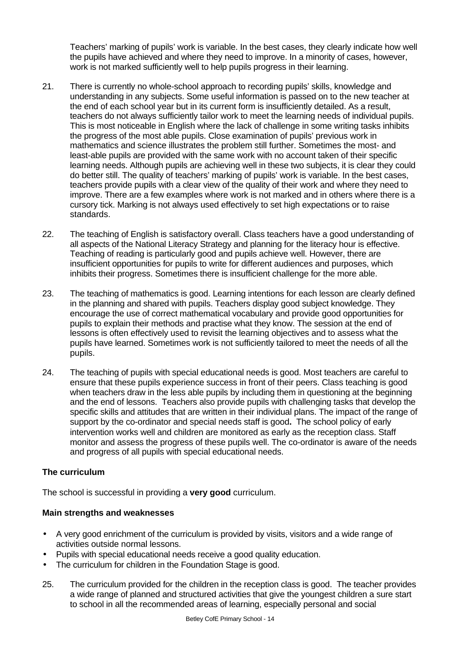Teachers' marking of pupils' work is variable. In the best cases, they clearly indicate how well the pupils have achieved and where they need to improve. In a minority of cases, however, work is not marked sufficiently well to help pupils progress in their learning.

- 21. There is currently no whole-school approach to recording pupils' skills, knowledge and understanding in any subjects. Some useful information is passed on to the new teacher at the end of each school year but in its current form is insufficiently detailed. As a result, teachers do not always sufficiently tailor work to meet the learning needs of individual pupils. This is most noticeable in English where the lack of challenge in some writing tasks inhibits the progress of the most able pupils. Close examination of pupils' previous work in mathematics and science illustrates the problem still further. Sometimes the most- and least-able pupils are provided with the same work with no account taken of their specific learning needs. Although pupils are achieving well in these two subjects, it is clear they could do better still. The quality of teachers' marking of pupils' work is variable. In the best cases, teachers provide pupils with a clear view of the quality of their work and where they need to improve. There are a few examples where work is not marked and in others where there is a cursory tick. Marking is not always used effectively to set high expectations or to raise standards.
- 22. The teaching of English is satisfactory overall. Class teachers have a good understanding of all aspects of the National Literacy Strategy and planning for the literacy hour is effective. Teaching of reading is particularly good and pupils achieve well. However, there are insufficient opportunities for pupils to write for different audiences and purposes, which inhibits their progress. Sometimes there is insufficient challenge for the more able.
- 23. The teaching of mathematics is good. Learning intentions for each lesson are clearly defined in the planning and shared with pupils. Teachers display good subject knowledge. They encourage the use of correct mathematical vocabulary and provide good opportunities for pupils to explain their methods and practise what they know. The session at the end of lessons is often effectively used to revisit the learning objectives and to assess what the pupils have learned. Sometimes work is not sufficiently tailored to meet the needs of all the pupils.
- 24. The teaching of pupils with special educational needs is good. Most teachers are careful to ensure that these pupils experience success in front of their peers. Class teaching is good when teachers draw in the less able pupils by including them in questioning at the beginning and the end of lessons. Teachers also provide pupils with challenging tasks that develop the specific skills and attitudes that are written in their individual plans. The impact of the range of support by the co-ordinator and special needs staff is good**.** The school policy of early intervention works well and children are monitored as early as the reception class. Staff monitor and assess the progress of these pupils well. The co-ordinator is aware of the needs and progress of all pupils with special educational needs.

## **The curriculum**

The school is successful in providing a **very good** curriculum.

- A very good enrichment of the curriculum is provided by visits, visitors and a wide range of activities outside normal lessons.
- Pupils with special educational needs receive a good quality education.
- The curriculum for children in the Foundation Stage is good.
- 25. The curriculum provided for the children in the reception class is good. The teacher provides a wide range of planned and structured activities that give the youngest children a sure start to school in all the recommended areas of learning, especially personal and social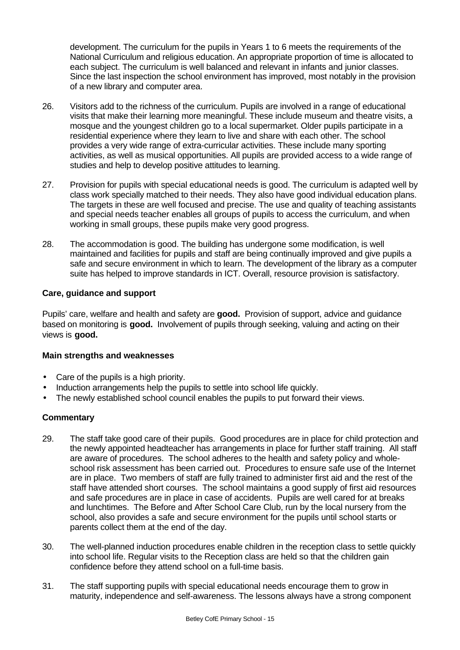development. The curriculum for the pupils in Years 1 to 6 meets the requirements of the National Curriculum and religious education. An appropriate proportion of time is allocated to each subject. The curriculum is well balanced and relevant in infants and junior classes. Since the last inspection the school environment has improved, most notably in the provision of a new library and computer area.

- 26. Visitors add to the richness of the curriculum. Pupils are involved in a range of educational visits that make their learning more meaningful. These include museum and theatre visits, a mosque and the youngest children go to a local supermarket. Older pupils participate in a residential experience where they learn to live and share with each other. The school provides a very wide range of extra-curricular activities. These include many sporting activities, as well as musical opportunities. All pupils are provided access to a wide range of studies and help to develop positive attitudes to learning.
- 27. Provision for pupils with special educational needs is good. The curriculum is adapted well by class work specially matched to their needs. They also have good individual education plans. The targets in these are well focused and precise. The use and quality of teaching assistants and special needs teacher enables all groups of pupils to access the curriculum, and when working in small groups, these pupils make very good progress.
- 28. The accommodation is good. The building has undergone some modification, is well maintained and facilities for pupils and staff are being continually improved and give pupils a safe and secure environment in which to learn. The development of the library as a computer suite has helped to improve standards in ICT. Overall, resource provision is satisfactory.

## **Care, guidance and support**

Pupils' care, welfare and health and safety are **good.** Provision of support, advice and guidance based on monitoring is **good.** Involvement of pupils through seeking, valuing and acting on their views is **good.**

## **Main strengths and weaknesses**

- Care of the pupils is a high priority.
- Induction arrangements help the pupils to settle into school life quickly.
- The newly established school council enables the pupils to put forward their views.

- 29. The staff take good care of their pupils. Good procedures are in place for child protection and the newly appointed headteacher has arrangements in place for further staff training. All staff are aware of procedures. The school adheres to the health and safety policy and wholeschool risk assessment has been carried out. Procedures to ensure safe use of the Internet are in place. Two members of staff are fully trained to administer first aid and the rest of the staff have attended short courses. The school maintains a good supply of first aid resources and safe procedures are in place in case of accidents. Pupils are well cared for at breaks and lunchtimes. The Before and After School Care Club, run by the local nursery from the school, also provides a safe and secure environment for the pupils until school starts or parents collect them at the end of the day.
- 30. The well-planned induction procedures enable children in the reception class to settle quickly into school life. Regular visits to the Reception class are held so that the children gain confidence before they attend school on a full-time basis.
- 31. The staff supporting pupils with special educational needs encourage them to grow in maturity, independence and self-awareness. The lessons always have a strong component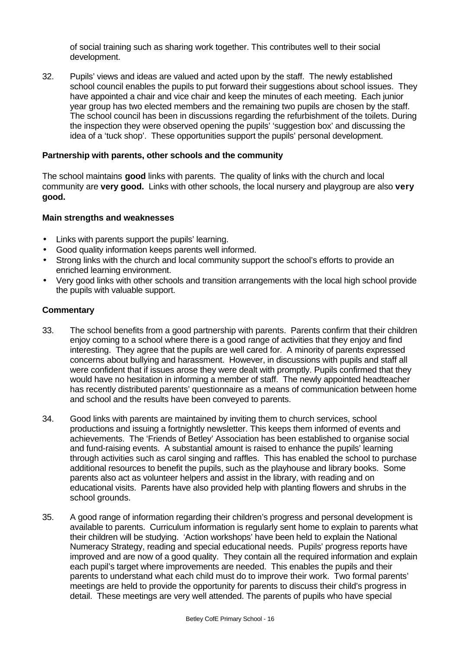of social training such as sharing work together. This contributes well to their social development.

32. Pupils' views and ideas are valued and acted upon by the staff. The newly established school council enables the pupils to put forward their suggestions about school issues. They have appointed a chair and vice chair and keep the minutes of each meeting. Each junior year group has two elected members and the remaining two pupils are chosen by the staff. The school council has been in discussions regarding the refurbishment of the toilets. During the inspection they were observed opening the pupils' 'suggestion box' and discussing the idea of a 'tuck shop'. These opportunities support the pupils' personal development.

#### **Partnership with parents, other schools and the community**

The school maintains **good** links with parents. The quality of links with the church and local community are **very good.** Links with other schools, the local nursery and playgroup are also **very good.**

#### **Main strengths and weaknesses**

- Links with parents support the pupils' learning.
- Good quality information keeps parents well informed.
- Strong links with the church and local community support the school's efforts to provide an enriched learning environment.
- Very good links with other schools and transition arrangements with the local high school provide the pupils with valuable support.

- 33. The school benefits from a good partnership with parents. Parents confirm that their children enjoy coming to a school where there is a good range of activities that they enjoy and find interesting. They agree that the pupils are well cared for. A minority of parents expressed concerns about bullying and harassment. However, in discussions with pupils and staff all were confident that if issues arose they were dealt with promptly. Pupils confirmed that they would have no hesitation in informing a member of staff. The newly appointed headteacher has recently distributed parents' questionnaire as a means of communication between home and school and the results have been conveyed to parents.
- 34. Good links with parents are maintained by inviting them to church services, school productions and issuing a fortnightly newsletter. This keeps them informed of events and achievements. The 'Friends of Betley' Association has been established to organise social and fund-raising events. A substantial amount is raised to enhance the pupils' learning through activities such as carol singing and raffles. This has enabled the school to purchase additional resources to benefit the pupils, such as the playhouse and library books. Some parents also act as volunteer helpers and assist in the library, with reading and on educational visits. Parents have also provided help with planting flowers and shrubs in the school grounds.
- 35. A good range of information regarding their children's progress and personal development is available to parents. Curriculum information is regularly sent home to explain to parents what their children will be studying. 'Action workshops' have been held to explain the National Numeracy Strategy, reading and special educational needs. Pupils' progress reports have improved and are now of a good quality. They contain all the required information and explain each pupil's target where improvements are needed. This enables the pupils and their parents to understand what each child must do to improve their work. Two formal parents' meetings are held to provide the opportunity for parents to discuss their child's progress in detail. These meetings are very well attended. The parents of pupils who have special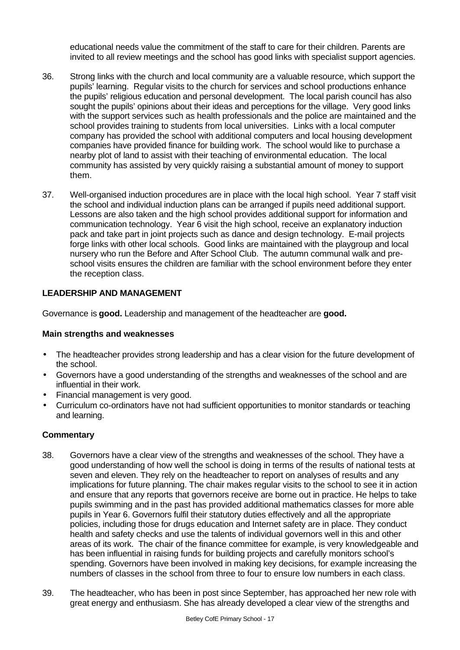educational needs value the commitment of the staff to care for their children. Parents are invited to all review meetings and the school has good links with specialist support agencies.

- 36. Strong links with the church and local community are a valuable resource, which support the pupils' learning. Regular visits to the church for services and school productions enhance the pupils' religious education and personal development. The local parish council has also sought the pupils' opinions about their ideas and perceptions for the village. Very good links with the support services such as health professionals and the police are maintained and the school provides training to students from local universities. Links with a local computer company has provided the school with additional computers and local housing development companies have provided finance for building work. The school would like to purchase a nearby plot of land to assist with their teaching of environmental education. The local community has assisted by very quickly raising a substantial amount of money to support them.
- 37. Well-organised induction procedures are in place with the local high school. Year 7 staff visit the school and individual induction plans can be arranged if pupils need additional support. Lessons are also taken and the high school provides additional support for information and communication technology. Year 6 visit the high school, receive an explanatory induction pack and take part in joint projects such as dance and design technology. E-mail projects forge links with other local schools. Good links are maintained with the playgroup and local nursery who run the Before and After School Club. The autumn communal walk and preschool visits ensures the children are familiar with the school environment before they enter the reception class.

## **LEADERSHIP AND MANAGEMENT**

Governance is **good.** Leadership and management of the headteacher are **good.**

## **Main strengths and weaknesses**

- The headteacher provides strong leadership and has a clear vision for the future development of the school.
- Governors have a good understanding of the strengths and weaknesses of the school and are influential in their work.
- Financial management is very good.
- Curriculum co-ordinators have not had sufficient opportunities to monitor standards or teaching and learning.

- 38. Governors have a clear view of the strengths and weaknesses of the school. They have a good understanding of how well the school is doing in terms of the results of national tests at seven and eleven. They rely on the headteacher to report on analyses of results and any implications for future planning. The chair makes regular visits to the school to see it in action and ensure that any reports that governors receive are borne out in practice. He helps to take pupils swimming and in the past has provided additional mathematics classes for more able pupils in Year 6. Governors fulfil their statutory duties effectively and all the appropriate policies, including those for drugs education and Internet safety are in place. They conduct health and safety checks and use the talents of individual governors well in this and other areas of its work. The chair of the finance committee for example, is very knowledgeable and has been influential in raising funds for building projects and carefully monitors school's spending. Governors have been involved in making key decisions, for example increasing the numbers of classes in the school from three to four to ensure low numbers in each class.
- 39. The headteacher, who has been in post since September, has approached her new role with great energy and enthusiasm. She has already developed a clear view of the strengths and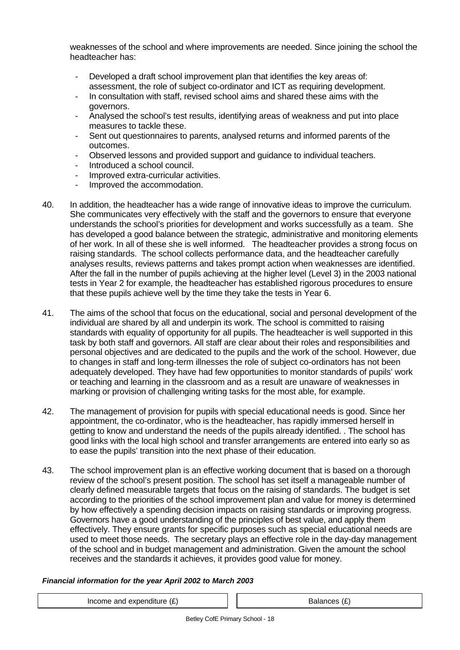weaknesses of the school and where improvements are needed. Since joining the school the headteacher has:

- Developed a draft school improvement plan that identifies the key areas of: assessment, the role of subject co-ordinator and ICT as requiring development.
- In consultation with staff, revised school aims and shared these aims with the governors.
- Analysed the school's test results, identifying areas of weakness and put into place measures to tackle these.
- Sent out questionnaires to parents, analysed returns and informed parents of the outcomes.
- Observed lessons and provided support and guidance to individual teachers.
- Introduced a school council.
- Improved extra-curricular activities.
- Improved the accommodation.
- 40. In addition, the headteacher has a wide range of innovative ideas to improve the curriculum. She communicates very effectively with the staff and the governors to ensure that everyone understands the school's priorities for development and works successfully as a team. She has developed a good balance between the strategic, administrative and monitoring elements of her work. In all of these she is well informed. The headteacher provides a strong focus on raising standards. The school collects performance data, and the headteacher carefully analyses results, reviews patterns and takes prompt action when weaknesses are identified. After the fall in the number of pupils achieving at the higher level (Level 3) in the 2003 national tests in Year 2 for example, the headteacher has established rigorous procedures to ensure that these pupils achieve well by the time they take the tests in Year 6.
- 41. The aims of the school that focus on the educational, social and personal development of the individual are shared by all and underpin its work. The school is committed to raising standards with equality of opportunity for all pupils. The headteacher is well supported in this task by both staff and governors. All staff are clear about their roles and responsibilities and personal objectives and are dedicated to the pupils and the work of the school. However, due to changes in staff and long-term illnesses the role of subject co-ordinators has not been adequately developed. They have had few opportunities to monitor standards of pupils' work or teaching and learning in the classroom and as a result are unaware of weaknesses in marking or provision of challenging writing tasks for the most able, for example.
- 42. The management of provision for pupils with special educational needs is good. Since her appointment, the co-ordinator, who is the headteacher, has rapidly immersed herself in getting to know and understand the needs of the pupils already identified. . The school has good links with the local high school and transfer arrangements are entered into early so as to ease the pupils' transition into the next phase of their education.
- 43. The school improvement plan is an effective working document that is based on a thorough review of the school's present position. The school has set itself a manageable number of clearly defined measurable targets that focus on the raising of standards. The budget is set according to the priorities of the school improvement plan and value for money is determined by how effectively a spending decision impacts on raising standards or improving progress. Governors have a good understanding of the principles of best value, and apply them effectively. They ensure grants for specific purposes such as special educational needs are used to meet those needs. The secretary plays an effective role in the day-day management of the school and in budget management and administration. Given the amount the school receives and the standards it achieves, it provides good value for money.

## *Financial information for the year April 2002 to March 2003*

Income and expenditure  $(E)$   $\qquad$   $\qquad$  Balances  $(E)$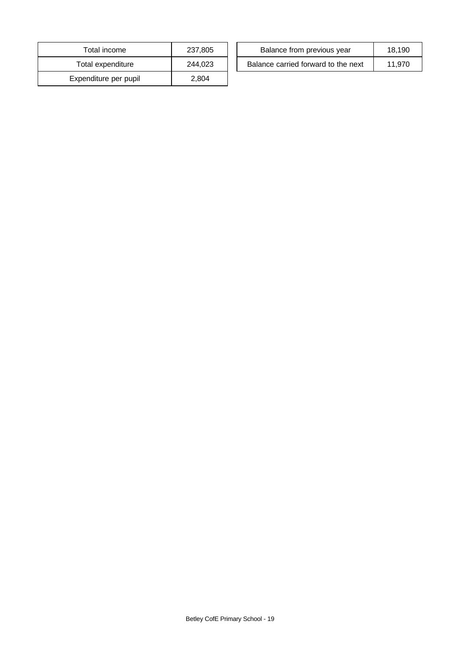| Total income          | 237,805 |
|-----------------------|---------|
| Total expenditure     | 244.023 |
| Expenditure per pupil | 2.804   |

| Total income      | 237.805 | Balance from previous year          | 18.190 |
|-------------------|---------|-------------------------------------|--------|
| Total expenditure | 244,023 | Balance carried forward to the next | 11.970 |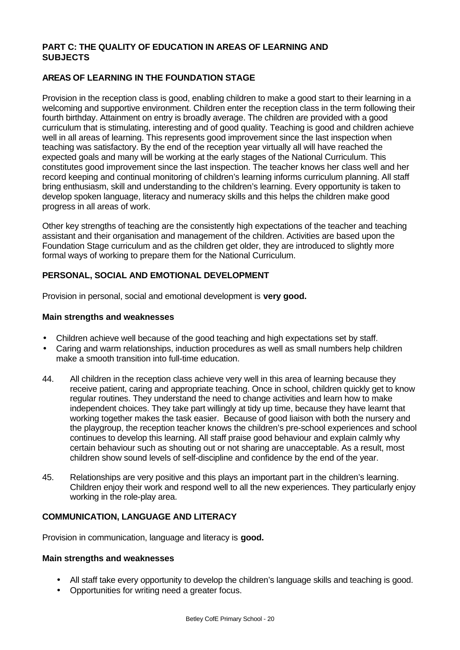## **PART C: THE QUALITY OF EDUCATION IN AREAS OF LEARNING AND SUBJECTS**

## **AREAS OF LEARNING IN THE FOUNDATION STAGE**

Provision in the reception class is good, enabling children to make a good start to their learning in a welcoming and supportive environment. Children enter the reception class in the term following their fourth birthday. Attainment on entry is broadly average. The children are provided with a good curriculum that is stimulating, interesting and of good quality. Teaching is good and children achieve well in all areas of learning. This represents good improvement since the last inspection when teaching was satisfactory. By the end of the reception year virtually all will have reached the expected goals and many will be working at the early stages of the National Curriculum. This constitutes good improvement since the last inspection. The teacher knows her class well and her record keeping and continual monitoring of children's learning informs curriculum planning. All staff bring enthusiasm, skill and understanding to the children's learning. Every opportunity is taken to develop spoken language, literacy and numeracy skills and this helps the children make good progress in all areas of work.

Other key strengths of teaching are the consistently high expectations of the teacher and teaching assistant and their organisation and management of the children. Activities are based upon the Foundation Stage curriculum and as the children get older, they are introduced to slightly more formal ways of working to prepare them for the National Curriculum.

## **PERSONAL, SOCIAL AND EMOTIONAL DEVELOPMENT**

Provision in personal, social and emotional development is **very good.**

#### **Main strengths and weaknesses**

- Children achieve well because of the good teaching and high expectations set by staff.
- Caring and warm relationships, induction procedures as well as small numbers help children make a smooth transition into full-time education.
- 44. All children in the reception class achieve very well in this area of learning because they receive patient, caring and appropriate teaching. Once in school, children quickly get to know regular routines. They understand the need to change activities and learn how to make independent choices. They take part willingly at tidy up time, because they have learnt that working together makes the task easier. Because of good liaison with both the nursery and the playgroup, the reception teacher knows the children's pre-school experiences and school continues to develop this learning. All staff praise good behaviour and explain calmly why certain behaviour such as shouting out or not sharing are unacceptable. As a result, most children show sound levels of self-discipline and confidence by the end of the year.
- 45. Relationships are very positive and this plays an important part in the children's learning. Children enjoy their work and respond well to all the new experiences. They particularly enjoy working in the role-play area.

#### **COMMUNICATION, LANGUAGE AND LITERACY**

Provision in communication, language and literacy is **good.**

- All staff take every opportunity to develop the children's language skills and teaching is good.
- Opportunities for writing need a greater focus.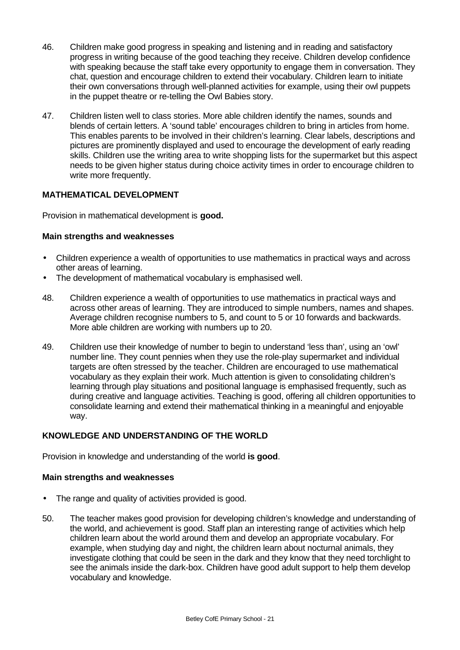- 46. Children make good progress in speaking and listening and in reading and satisfactory progress in writing because of the good teaching they receive. Children develop confidence with speaking because the staff take every opportunity to engage them in conversation. They chat, question and encourage children to extend their vocabulary. Children learn to initiate their own conversations through well-planned activities for example, using their owl puppets in the puppet theatre or re-telling the Owl Babies story.
- 47. Children listen well to class stories. More able children identify the names, sounds and blends of certain letters. A 'sound table' encourages children to bring in articles from home. This enables parents to be involved in their children's learning. Clear labels, descriptions and pictures are prominently displayed and used to encourage the development of early reading skills. Children use the writing area to write shopping lists for the supermarket but this aspect needs to be given higher status during choice activity times in order to encourage children to write more frequently.

## **MATHEMATICAL DEVELOPMENT**

Provision in mathematical development is **good.**

#### **Main strengths and weaknesses**

- Children experience a wealth of opportunities to use mathematics in practical ways and across other areas of learning.
- The development of mathematical vocabulary is emphasised well.
- 48. Children experience a wealth of opportunities to use mathematics in practical ways and across other areas of learning. They are introduced to simple numbers, names and shapes. Average children recognise numbers to 5, and count to 5 or 10 forwards and backwards. More able children are working with numbers up to 20.
- 49. Children use their knowledge of number to begin to understand 'less than', using an 'owl' number line. They count pennies when they use the role-play supermarket and individual targets are often stressed by the teacher. Children are encouraged to use mathematical vocabulary as they explain their work. Much attention is given to consolidating children's learning through play situations and positional language is emphasised frequently, such as during creative and language activities. Teaching is good, offering all children opportunities to consolidate learning and extend their mathematical thinking in a meaningful and enjoyable way.

## **KNOWLEDGE AND UNDERSTANDING OF THE WORLD**

Provision in knowledge and understanding of the world **is good**.

- The range and quality of activities provided is good.
- 50. The teacher makes good provision for developing children's knowledge and understanding of the world, and achievement is good. Staff plan an interesting range of activities which help children learn about the world around them and develop an appropriate vocabulary. For example, when studying day and night, the children learn about nocturnal animals, they investigate clothing that could be seen in the dark and they know that they need torchlight to see the animals inside the dark-box. Children have good adult support to help them develop vocabulary and knowledge.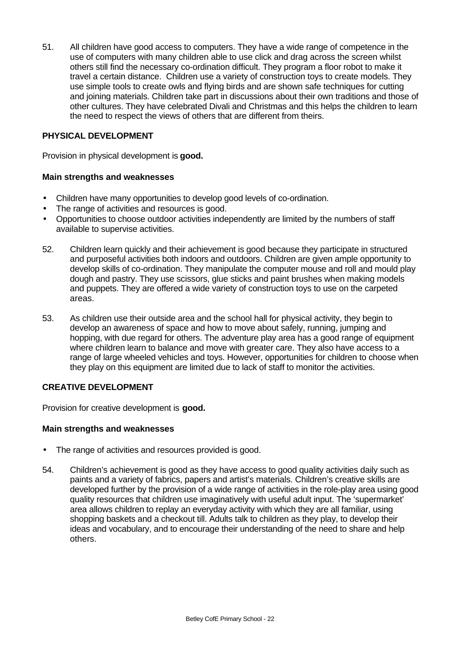51. All children have good access to computers. They have a wide range of competence in the use of computers with many children able to use click and drag across the screen whilst others still find the necessary co-ordination difficult. They program a floor robot to make it travel a certain distance. Children use a variety of construction toys to create models. They use simple tools to create owls and flying birds and are shown safe techniques for cutting and joining materials. Children take part in discussions about their own traditions and those of other cultures. They have celebrated Divali and Christmas and this helps the children to learn the need to respect the views of others that are different from theirs.

## **PHYSICAL DEVELOPMENT**

Provision in physical development is **good.**

## **Main strengths and weaknesses**

- Children have many opportunities to develop good levels of co-ordination.
- The range of activities and resources is good.
- Opportunities to choose outdoor activities independently are limited by the numbers of staff available to supervise activities.
- 52. Children learn quickly and their achievement is good because they participate in structured and purposeful activities both indoors and outdoors. Children are given ample opportunity to develop skills of co-ordination. They manipulate the computer mouse and roll and mould play dough and pastry. They use scissors, glue sticks and paint brushes when making models and puppets. They are offered a wide variety of construction toys to use on the carpeted areas.
- 53. As children use their outside area and the school hall for physical activity, they begin to develop an awareness of space and how to move about safely, running, jumping and hopping, with due regard for others. The adventure play area has a good range of equipment where children learn to balance and move with greater care. They also have access to a range of large wheeled vehicles and toys. However, opportunities for children to choose when they play on this equipment are limited due to lack of staff to monitor the activities.

## **CREATIVE DEVELOPMENT**

Provision for creative development is **good.**

- The range of activities and resources provided is good.
- 54. Children's achievement is good as they have access to good quality activities daily such as paints and a variety of fabrics, papers and artist's materials. Children's creative skills are developed further by the provision of a wide range of activities in the role-play area using good quality resources that children use imaginatively with useful adult input. The 'supermarket' area allows children to replay an everyday activity with which they are all familiar, using shopping baskets and a checkout till. Adults talk to children as they play, to develop their ideas and vocabulary, and to encourage their understanding of the need to share and help others.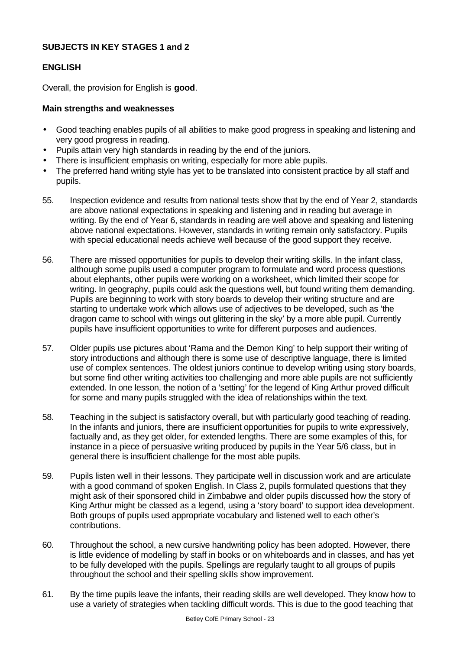## **SUBJECTS IN KEY STAGES 1 and 2**

## **ENGLISH**

Overall, the provision for English is **good**.

- Good teaching enables pupils of all abilities to make good progress in speaking and listening and very good progress in reading.
- Pupils attain very high standards in reading by the end of the juniors.
- There is insufficient emphasis on writing, especially for more able pupils.
- The preferred hand writing style has yet to be translated into consistent practice by all staff and pupils.
- 55. Inspection evidence and results from national tests show that by the end of Year 2, standards are above national expectations in speaking and listening and in reading but average in writing. By the end of Year 6, standards in reading are well above and speaking and listening above national expectations. However, standards in writing remain only satisfactory. Pupils with special educational needs achieve well because of the good support they receive.
- 56. There are missed opportunities for pupils to develop their writing skills. In the infant class, although some pupils used a computer program to formulate and word process questions about elephants, other pupils were working on a worksheet, which limited their scope for writing. In geography, pupils could ask the questions well, but found writing them demanding. Pupils are beginning to work with story boards to develop their writing structure and are starting to undertake work which allows use of adjectives to be developed, such as 'the dragon came to school with wings out glittering in the sky' by a more able pupil. Currently pupils have insufficient opportunities to write for different purposes and audiences.
- 57. Older pupils use pictures about 'Rama and the Demon King' to help support their writing of story introductions and although there is some use of descriptive language, there is limited use of complex sentences. The oldest juniors continue to develop writing using story boards, but some find other writing activities too challenging and more able pupils are not sufficiently extended. In one lesson, the notion of a 'setting' for the legend of King Arthur proved difficult for some and many pupils struggled with the idea of relationships within the text.
- 58. Teaching in the subject is satisfactory overall, but with particularly good teaching of reading. In the infants and juniors, there are insufficient opportunities for pupils to write expressively, factually and, as they get older, for extended lengths. There are some examples of this, for instance in a piece of persuasive writing produced by pupils in the Year 5/6 class, but in general there is insufficient challenge for the most able pupils.
- 59. Pupils listen well in their lessons. They participate well in discussion work and are articulate with a good command of spoken English. In Class 2, pupils formulated questions that they might ask of their sponsored child in Zimbabwe and older pupils discussed how the story of King Arthur might be classed as a legend, using a 'story board' to support idea development. Both groups of pupils used appropriate vocabulary and listened well to each other's contributions.
- 60. Throughout the school, a new cursive handwriting policy has been adopted. However, there is little evidence of modelling by staff in books or on whiteboards and in classes, and has yet to be fully developed with the pupils. Spellings are regularly taught to all groups of pupils throughout the school and their spelling skills show improvement.
- 61. By the time pupils leave the infants, their reading skills are well developed. They know how to use a variety of strategies when tackling difficult words. This is due to the good teaching that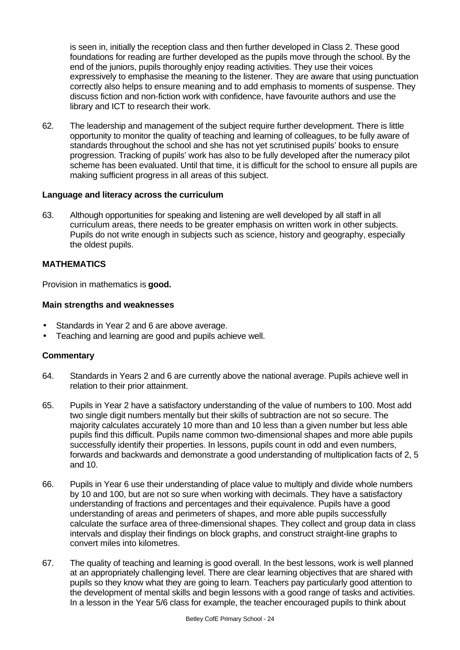is seen in, initially the reception class and then further developed in Class 2. These good foundations for reading are further developed as the pupils move through the school. By the end of the juniors, pupils thoroughly enjoy reading activities. They use their voices expressively to emphasise the meaning to the listener. They are aware that using punctuation correctly also helps to ensure meaning and to add emphasis to moments of suspense. They discuss fiction and non-fiction work with confidence, have favourite authors and use the library and ICT to research their work.

62. The leadership and management of the subject require further development. There is little opportunity to monitor the quality of teaching and learning of colleagues, to be fully aware of standards throughout the school and she has not yet scrutinised pupils' books to ensure progression. Tracking of pupils' work has also to be fully developed after the numeracy pilot scheme has been evaluated. Until that time, it is difficult for the school to ensure all pupils are making sufficient progress in all areas of this subject.

#### **Language and literacy across the curriculum**

63. Although opportunities for speaking and listening are well developed by all staff in all curriculum areas, there needs to be greater emphasis on written work in other subjects. Pupils do not write enough in subjects such as science, history and geography, especially the oldest pupils.

## **MATHEMATICS**

Provision in mathematics is **good.**

#### **Main strengths and weaknesses**

- Standards in Year 2 and 6 are above average.
- Teaching and learning are good and pupils achieve well.

- 64. Standards in Years 2 and 6 are currently above the national average. Pupils achieve well in relation to their prior attainment.
- 65. Pupils in Year 2 have a satisfactory understanding of the value of numbers to 100. Most add two single digit numbers mentally but their skills of subtraction are not so secure. The majority calculates accurately 10 more than and 10 less than a given number but less able pupils find this difficult. Pupils name common two-dimensional shapes and more able pupils successfully identify their properties. In lessons, pupils count in odd and even numbers, forwards and backwards and demonstrate a good understanding of multiplication facts of 2, 5 and 10.
- 66. Pupils in Year 6 use their understanding of place value to multiply and divide whole numbers by 10 and 100, but are not so sure when working with decimals. They have a satisfactory understanding of fractions and percentages and their equivalence. Pupils have a good understanding of areas and perimeters of shapes, and more able pupils successfully calculate the surface area of three-dimensional shapes. They collect and group data in class intervals and display their findings on block graphs, and construct straight-line graphs to convert miles into kilometres.
- 67. The quality of teaching and learning is good overall. In the best lessons, work is well planned at an appropriately challenging level. There are clear learning objectives that are shared with pupils so they know what they are going to learn. Teachers pay particularly good attention to the development of mental skills and begin lessons with a good range of tasks and activities. In a lesson in the Year 5/6 class for example, the teacher encouraged pupils to think about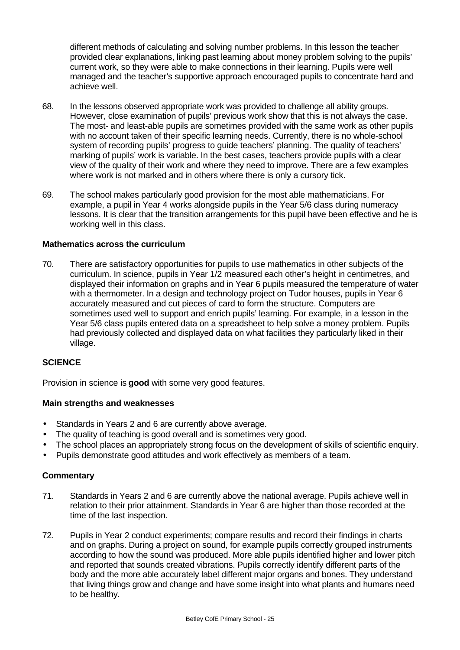different methods of calculating and solving number problems. In this lesson the teacher provided clear explanations, linking past learning about money problem solving to the pupils' current work, so they were able to make connections in their learning. Pupils were well managed and the teacher's supportive approach encouraged pupils to concentrate hard and achieve well.

- 68. In the lessons observed appropriate work was provided to challenge all ability groups. However, close examination of pupils' previous work show that this is not always the case. The most- and least-able pupils are sometimes provided with the same work as other pupils with no account taken of their specific learning needs. Currently, there is no whole-school system of recording pupils' progress to guide teachers' planning. The quality of teachers' marking of pupils' work is variable. In the best cases, teachers provide pupils with a clear view of the quality of their work and where they need to improve. There are a few examples where work is not marked and in others where there is only a cursory tick.
- 69. The school makes particularly good provision for the most able mathematicians. For example, a pupil in Year 4 works alongside pupils in the Year 5/6 class during numeracy lessons. It is clear that the transition arrangements for this pupil have been effective and he is working well in this class.

#### **Mathematics across the curriculum**

70. There are satisfactory opportunities for pupils to use mathematics in other subjects of the curriculum. In science, pupils in Year 1/2 measured each other's height in centimetres, and displayed their information on graphs and in Year 6 pupils measured the temperature of water with a thermometer. In a design and technology project on Tudor houses, pupils in Year 6 accurately measured and cut pieces of card to form the structure. Computers are sometimes used well to support and enrich pupils' learning. For example, in a lesson in the Year 5/6 class pupils entered data on a spreadsheet to help solve a money problem. Pupils had previously collected and displayed data on what facilities they particularly liked in their village.

## **SCIENCE**

Provision in science is **good** with some very good features.

## **Main strengths and weaknesses**

- Standards in Years 2 and 6 are currently above average.
- The quality of teaching is good overall and is sometimes very good.
- The school places an appropriately strong focus on the development of skills of scientific enquiry.
- Pupils demonstrate good attitudes and work effectively as members of a team.

- 71. Standards in Years 2 and 6 are currently above the national average. Pupils achieve well in relation to their prior attainment. Standards in Year 6 are higher than those recorded at the time of the last inspection.
- 72. Pupils in Year 2 conduct experiments; compare results and record their findings in charts and on graphs. During a project on sound, for example pupils correctly grouped instruments according to how the sound was produced. More able pupils identified higher and lower pitch and reported that sounds created vibrations. Pupils correctly identify different parts of the body and the more able accurately label different major organs and bones. They understand that living things grow and change and have some insight into what plants and humans need to be healthy.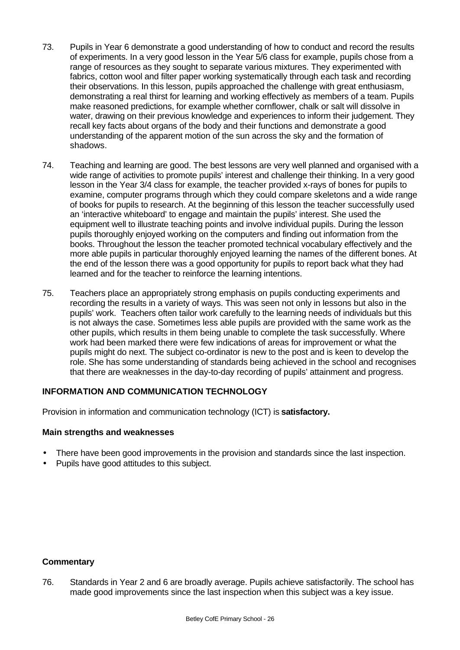- 73. Pupils in Year 6 demonstrate a good understanding of how to conduct and record the results of experiments. In a very good lesson in the Year 5/6 class for example, pupils chose from a range of resources as they sought to separate various mixtures. They experimented with fabrics, cotton wool and filter paper working systematically through each task and recording their observations. In this lesson, pupils approached the challenge with great enthusiasm, demonstrating a real thirst for learning and working effectively as members of a team. Pupils make reasoned predictions, for example whether cornflower, chalk or salt will dissolve in water, drawing on their previous knowledge and experiences to inform their judgement. They recall key facts about organs of the body and their functions and demonstrate a good understanding of the apparent motion of the sun across the sky and the formation of shadows.
- 74. Teaching and learning are good. The best lessons are very well planned and organised with a wide range of activities to promote pupils' interest and challenge their thinking. In a very good lesson in the Year 3/4 class for example, the teacher provided x-rays of bones for pupils to examine, computer programs through which they could compare skeletons and a wide range of books for pupils to research. At the beginning of this lesson the teacher successfully used an 'interactive whiteboard' to engage and maintain the pupils' interest. She used the equipment well to illustrate teaching points and involve individual pupils. During the lesson pupils thoroughly enjoyed working on the computers and finding out information from the books. Throughout the lesson the teacher promoted technical vocabulary effectively and the more able pupils in particular thoroughly enjoyed learning the names of the different bones. At the end of the lesson there was a good opportunity for pupils to report back what they had learned and for the teacher to reinforce the learning intentions.
- 75. Teachers place an appropriately strong emphasis on pupils conducting experiments and recording the results in a variety of ways. This was seen not only in lessons but also in the pupils' work. Teachers often tailor work carefully to the learning needs of individuals but this is not always the case. Sometimes less able pupils are provided with the same work as the other pupils, which results in them being unable to complete the task successfully. Where work had been marked there were few indications of areas for improvement or what the pupils might do next. The subject co-ordinator is new to the post and is keen to develop the role. She has some understanding of standards being achieved in the school and recognises that there are weaknesses in the day-to-day recording of pupils' attainment and progress.

## **INFORMATION AND COMMUNICATION TECHNOLOGY**

Provision in information and communication technology (ICT) is **satisfactory.**

## **Main strengths and weaknesses**

- There have been good improvements in the provision and standards since the last inspection.
- Pupils have good attitudes to this subject.

#### **Commentary**

76. Standards in Year 2 and 6 are broadly average. Pupils achieve satisfactorily. The school has made good improvements since the last inspection when this subject was a key issue.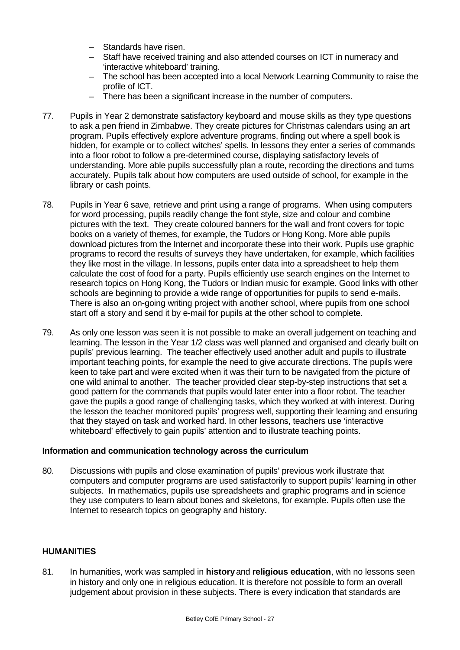- Standards have risen.
- Staff have received training and also attended courses on ICT in numeracy and 'interactive whiteboard' training.
- The school has been accepted into a local Network Learning Community to raise the profile of ICT.
- There has been a significant increase in the number of computers.
- 77. Pupils in Year 2 demonstrate satisfactory keyboard and mouse skills as they type questions to ask a pen friend in Zimbabwe. They create pictures for Christmas calendars using an art program. Pupils effectively explore adventure programs, finding out where a spell book is hidden, for example or to collect witches' spells. In lessons they enter a series of commands into a floor robot to follow a pre-determined course, displaying satisfactory levels of understanding. More able pupils successfully plan a route, recording the directions and turns accurately. Pupils talk about how computers are used outside of school, for example in the library or cash points.
- 78. Pupils in Year 6 save, retrieve and print using a range of programs. When using computers for word processing, pupils readily change the font style, size and colour and combine pictures with the text. They create coloured banners for the wall and front covers for topic books on a variety of themes, for example, the Tudors or Hong Kong. More able pupils download pictures from the Internet and incorporate these into their work. Pupils use graphic programs to record the results of surveys they have undertaken, for example, which facilities they like most in the village. In lessons, pupils enter data into a spreadsheet to help them calculate the cost of food for a party. Pupils efficiently use search engines on the Internet to research topics on Hong Kong, the Tudors or Indian music for example. Good links with other schools are beginning to provide a wide range of opportunities for pupils to send e-mails. There is also an on-going writing project with another school, where pupils from one school start off a story and send it by e-mail for pupils at the other school to complete.
- 79. As only one lesson was seen it is not possible to make an overall judgement on teaching and learning. The lesson in the Year 1/2 class was well planned and organised and clearly built on pupils' previous learning. The teacher effectively used another adult and pupils to illustrate important teaching points, for example the need to give accurate directions. The pupils were keen to take part and were excited when it was their turn to be navigated from the picture of one wild animal to another. The teacher provided clear step-by-step instructions that set a good pattern for the commands that pupils would later enter into a floor robot. The teacher gave the pupils a good range of challenging tasks, which they worked at with interest. During the lesson the teacher monitored pupils' progress well, supporting their learning and ensuring that they stayed on task and worked hard. In other lessons, teachers use 'interactive whiteboard' effectively to gain pupils' attention and to illustrate teaching points.

#### **Information and communication technology across the curriculum**

80. Discussions with pupils and close examination of pupils' previous work illustrate that computers and computer programs are used satisfactorily to support pupils' learning in other subjects. In mathematics, pupils use spreadsheets and graphic programs and in science they use computers to learn about bones and skeletons, for example. Pupils often use the Internet to research topics on geography and history.

## **HUMANITIES**

81. In humanities, work was sampled in **history** and **religious education**, with no lessons seen in history and only one in religious education. It is therefore not possible to form an overall judgement about provision in these subjects. There is every indication that standards are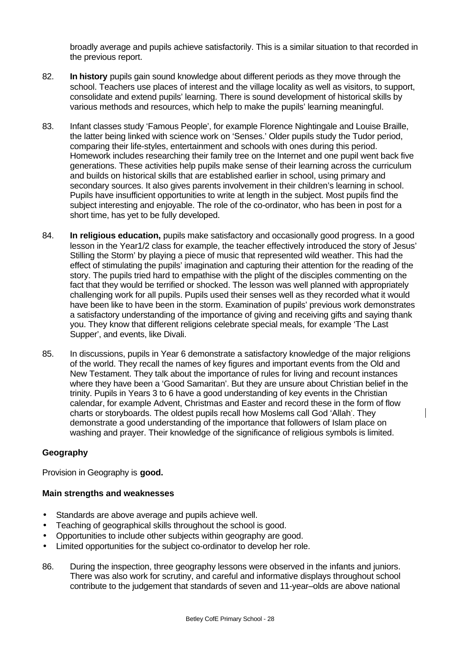broadly average and pupils achieve satisfactorily. This is a similar situation to that recorded in the previous report.

- 82. **In history** pupils gain sound knowledge about different periods as they move through the school. Teachers use places of interest and the village locality as well as visitors, to support, consolidate and extend pupils' learning. There is sound development of historical skills by various methods and resources, which help to make the pupils' learning meaningful.
- 83. Infant classes study 'Famous People', for example Florence Nightingale and Louise Braille, the latter being linked with science work on 'Senses.' Older pupils study the Tudor period, comparing their life-styles, entertainment and schools with ones during this period. Homework includes researching their family tree on the Internet and one pupil went back five generations. These activities help pupils make sense of their learning across the curriculum and builds on historical skills that are established earlier in school, using primary and secondary sources. It also gives parents involvement in their children's learning in school. Pupils have insufficient opportunities to write at length in the subject. Most pupils find the subject interesting and enjoyable. The role of the co-ordinator, who has been in post for a short time, has yet to be fully developed.
- 84. **In religious education,** pupils make satisfactory and occasionally good progress. In a good lesson in the Year1/2 class for example, the teacher effectively introduced the story of Jesus' Stilling the Storm' by playing a piece of music that represented wild weather. This had the effect of stimulating the pupils' imagination and capturing their attention for the reading of the story. The pupils tried hard to empathise with the plight of the disciples commenting on the fact that they would be terrified or shocked. The lesson was well planned with appropriately challenging work for all pupils. Pupils used their senses well as they recorded what it would have been like to have been in the storm. Examination of pupils' previous work demonstrates a satisfactory understanding of the importance of giving and receiving gifts and saying thank you. They know that different religions celebrate special meals, for example 'The Last Supper', and events, like Divali.
- 85. In discussions, pupils in Year 6 demonstrate a satisfactory knowledge of the major religions of the world. They recall the names of key figures and important events from the Old and New Testament. They talk about the importance of rules for living and recount instances where they have been a 'Good Samaritan'. But they are unsure about Christian belief in the trinity. Pupils in Years 3 to 6 have a good understanding of key events in the Christian calendar, for example Advent, Christmas and Easter and record these in the form of flow charts or storyboards. The oldest pupils recall how Moslems call God 'Allah'. They demonstrate a good understanding of the importance that followers of Islam place on washing and prayer. Their knowledge of the significance of religious symbols is limited.

## **Geography**

Provision in Geography is **good.**

- Standards are above average and pupils achieve well.
- Teaching of geographical skills throughout the school is good.
- Opportunities to include other subjects within geography are good.
- Limited opportunities for the subject co-ordinator to develop her role.
- 86. During the inspection, three geography lessons were observed in the infants and juniors. There was also work for scrutiny, and careful and informative displays throughout school contribute to the judgement that standards of seven and 11-year–olds are above national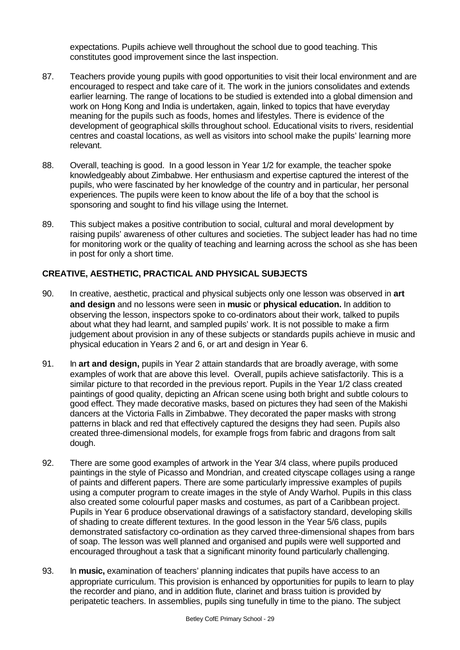expectations. Pupils achieve well throughout the school due to good teaching. This constitutes good improvement since the last inspection.

- 87. Teachers provide young pupils with good opportunities to visit their local environment and are encouraged to respect and take care of it. The work in the juniors consolidates and extends earlier learning. The range of locations to be studied is extended into a global dimension and work on Hong Kong and India is undertaken, again, linked to topics that have everyday meaning for the pupils such as foods, homes and lifestyles. There is evidence of the development of geographical skills throughout school. Educational visits to rivers, residential centres and coastal locations, as well as visitors into school make the pupils' learning more relevant.
- 88. Overall, teaching is good. In a good lesson in Year 1/2 for example, the teacher spoke knowledgeably about Zimbabwe. Her enthusiasm and expertise captured the interest of the pupils, who were fascinated by her knowledge of the country and in particular, her personal experiences. The pupils were keen to know about the life of a boy that the school is sponsoring and sought to find his village using the Internet.
- 89. This subject makes a positive contribution to social, cultural and moral development by raising pupils' awareness of other cultures and societies. The subject leader has had no time for monitoring work or the quality of teaching and learning across the school as she has been in post for only a short time.

## **CREATIVE, AESTHETIC, PRACTICAL AND PHYSICAL SUBJECTS**

- 90. In creative, aesthetic, practical and physical subjects only one lesson was observed in **art and design** and no lessons were seen in **music** or **physical education.** In addition to observing the lesson, inspectors spoke to co-ordinators about their work, talked to pupils about what they had learnt, and sampled pupils' work. It is not possible to make a firm judgement about provision in any of these subjects or standards pupils achieve in music and physical education in Years 2 and 6, or art and design in Year 6.
- 91. In **art and design,** pupils in Year 2 attain standards that are broadly average, with some examples of work that are above this level. Overall, pupils achieve satisfactorily. This is a similar picture to that recorded in the previous report. Pupils in the Year 1/2 class created paintings of good quality, depicting an African scene using both bright and subtle colours to good effect. They made decorative masks, based on pictures they had seen of the Makishi dancers at the Victoria Falls in Zimbabwe. They decorated the paper masks with strong patterns in black and red that effectively captured the designs they had seen. Pupils also created three-dimensional models, for example frogs from fabric and dragons from salt dough.
- 92. There are some good examples of artwork in the Year 3/4 class, where pupils produced paintings in the style of Picasso and Mondrian, and created cityscape collages using a range of paints and different papers. There are some particularly impressive examples of pupils using a computer program to create images in the style of Andy Warhol. Pupils in this class also created some colourful paper masks and costumes, as part of a Caribbean project. Pupils in Year 6 produce observational drawings of a satisfactory standard, developing skills of shading to create different textures. In the good lesson in the Year 5/6 class, pupils demonstrated satisfactory co-ordination as they carved three-dimensional shapes from bars of soap. The lesson was well planned and organised and pupils were well supported and encouraged throughout a task that a significant minority found particularly challenging.
- 93. In **music,** examination of teachers' planning indicates that pupils have access to an appropriate curriculum. This provision is enhanced by opportunities for pupils to learn to play the recorder and piano, and in addition flute, clarinet and brass tuition is provided by peripatetic teachers. In assemblies, pupils sing tunefully in time to the piano. The subject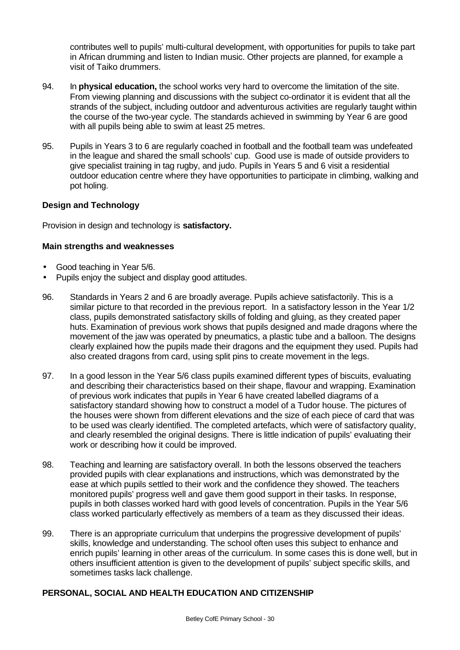contributes well to pupils' multi-cultural development, with opportunities for pupils to take part in African drumming and listen to Indian music. Other projects are planned, for example a visit of Taiko drummers.

- 94. In **physical education,** the school works very hard to overcome the limitation of the site. From viewing planning and discussions with the subject co-ordinator it is evident that all the strands of the subject, including outdoor and adventurous activities are regularly taught within the course of the two-year cycle. The standards achieved in swimming by Year 6 are good with all pupils being able to swim at least 25 metres.
- 95. Pupils in Years 3 to 6 are regularly coached in football and the football team was undefeated in the league and shared the small schools' cup. Good use is made of outside providers to give specialist training in tag rugby, and judo. Pupils in Years 5 and 6 visit a residential outdoor education centre where they have opportunities to participate in climbing, walking and pot holing.

## **Design and Technology**

Provision in design and technology is **satisfactory.**

## **Main strengths and weaknesses**

- Good teaching in Year 5/6.
- Pupils enjoy the subject and display good attitudes.
- 96. Standards in Years 2 and 6 are broadly average. Pupils achieve satisfactorily. This is a similar picture to that recorded in the previous report. In a satisfactory lesson in the Year 1/2 class, pupils demonstrated satisfactory skills of folding and gluing, as they created paper huts. Examination of previous work shows that pupils designed and made dragons where the movement of the jaw was operated by pneumatics, a plastic tube and a balloon. The designs clearly explained how the pupils made their dragons and the equipment they used. Pupils had also created dragons from card, using split pins to create movement in the legs.
- 97. In a good lesson in the Year 5/6 class pupils examined different types of biscuits, evaluating and describing their characteristics based on their shape, flavour and wrapping. Examination of previous work indicates that pupils in Year 6 have created labelled diagrams of a satisfactory standard showing how to construct a model of a Tudor house. The pictures of the houses were shown from different elevations and the size of each piece of card that was to be used was clearly identified. The completed artefacts, which were of satisfactory quality, and clearly resembled the original designs. There is little indication of pupils' evaluating their work or describing how it could be improved.
- 98. Teaching and learning are satisfactory overall. In both the lessons observed the teachers provided pupils with clear explanations and instructions, which was demonstrated by the ease at which pupils settled to their work and the confidence they showed. The teachers monitored pupils' progress well and gave them good support in their tasks. In response, pupils in both classes worked hard with good levels of concentration. Pupils in the Year 5/6 class worked particularly effectively as members of a team as they discussed their ideas.
- 99. There is an appropriate curriculum that underpins the progressive development of pupils' skills, knowledge and understanding. The school often uses this subject to enhance and enrich pupils' learning in other areas of the curriculum. In some cases this is done well, but in others insufficient attention is given to the development of pupils' subject specific skills, and sometimes tasks lack challenge.

## **PERSONAL, SOCIAL AND HEALTH EDUCATION AND CITIZENSHIP**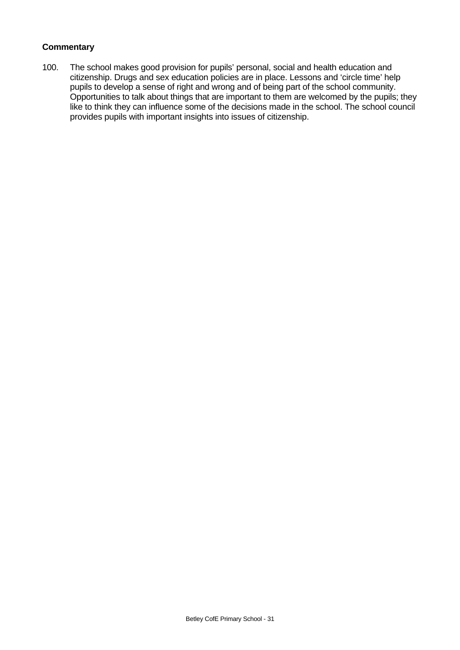## **Commentary**

100. The school makes good provision for pupils' personal, social and health education and citizenship. Drugs and sex education policies are in place. Lessons and 'circle time' help pupils to develop a sense of right and wrong and of being part of the school community. Opportunities to talk about things that are important to them are welcomed by the pupils; they like to think they can influence some of the decisions made in the school. The school council provides pupils with important insights into issues of citizenship.